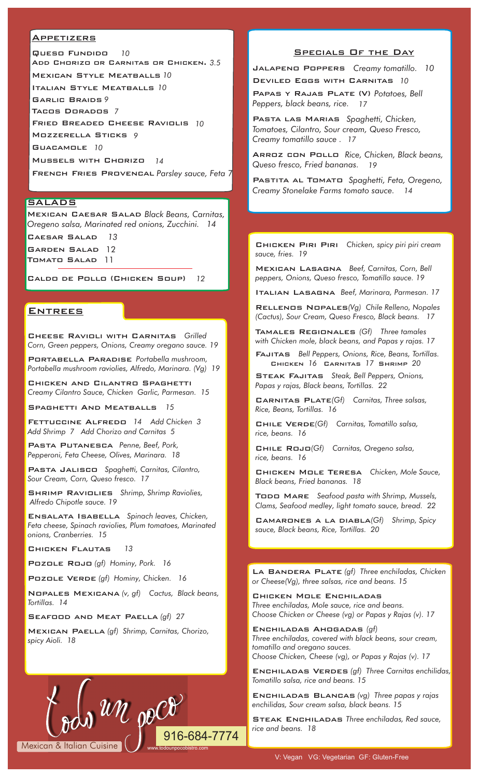#### **APPETIZERS**

 Queso Fundido *<sup>10</sup>* Add Chorizo or Carnitas or Chicken. *3.5* Mexican Style Meatballs *10* Italian Style Meatballs *10* Garlic Braids *9* Tacos Dorados *7* Fried Breaded Cheese Raviolis *10*  Mozzerella Sticks *9* Guacamole *10* Mussels with Chorizo *14* 

French Fries Provencal *Parsley sauce, Feta* 7

#### **SALADS**

Mexican Caesar Salad *Black Beans, Carnitas, Oregeno salsa, Marinated red onions, Zucchini. 14* Caesar Salad *13* Garden Salad 12 Tomato Salad 11

Caldo de Pollo (Chicken Soup) *12*

#### **ENTREES**

Cheese Ravioli with Carnitas *Grilled Corn, Green peppers, Onions, Creamy oregano sauce. 19*

Portabella Paradise *Portabella mushroom, Portabella mushroom raviolies, Alfredo, Marinara. (Vg) 19*

Chicken and Cilantro Spaghetti *Creamy Cilantro Sauce, Chicken Garlic, Parmesan. 15*

Spaghetti And Meatballs *15*

Fettuccine Alfredo *14 Add Chicken 3 Add Shrimp 7 Add Chorizo and Carnitas 5*

Pasta Putanesca *Penne, Beef, Pork, Pepperoni, Feta Cheese, Olives, Marinara. 18*

Pasta Jalisco *Spaghetti, Carnitas, Cilantro, Sour Cream, Corn, Queso fresco. 17*

Shrimp Raviolies *Shrimp, Shrimp Raviolies, Alfredo Chipotle sauce. 19* 

Ensalata Isabella *Spinach leaves, Chicken, Feta cheese, Spinach raviolies, Plum tomatoes, Marinated onions, Cranberries. 15*

Chicken Flautas *13* 

Mexican & Italian Cuisine

Pozole Rojo *(gf) Hominy, Pork. 16*

Pozole Verde *(gf) Hominy, Chicken. 16*

Nopales Mexicana *(v, gf) Cactus, Black beans, Tortillas. 14* 

Seafood and Meat Paella *(gf) 27*

Mexican Paella *(gf) Shrimp, Carnitas, Chorizo, spicy Aioli. 18*

 $u \mathcal{U}$  or  $\mathcal{C}$ 

## Specials Of the Day

Jalapeno Poppers *Creamy tomatillo. 10* Deviled Eggs with Carnitas *10*

Papas y Rajas Plate (V) *Potatoes, Bell Peppers, black beans, rice. 17*

Pasta las Marias *Spaghetti, Chicken, Tomatoes, Cilantro, Sour cream, Queso Fresco, Creamy tomatillo sauce . 17*

Arroz con Pollo *Rice, Chicken, Black beans, Queso fresco, Fried bananas. 19*

Pastita al Tomato *Spaghetti, Feta, Oregeno, Creamy Stonelake Farms tomato sauce. 14*

Chicken Piri Piri *Chicken, spicy piri piri cream sauce, fries. 19*

Mexican Lasagna *Beef, Carnitas, Corn, Bell peppers, Onions, Queso fresco, Tomatillo sauce. 19*

Italian Lasagna *Beef, Marinara, Parmesan. 17*

Rellenos Nopales*(Vg) Chile Relleno, Nopales (Cactus), Sour Cream, Queso Fresco, Black beans. 17* 

Tamales Regionales *(Gf) Three tamales with Chicken mole, black beans, and Papas y rajas. 17*

Fajitas *Bell Peppers, Onions, Rice, Beans, Tortillas.* Chicken *16* Carnitas *17* Shrimp *20* 

Steak Fajitas *Steak, Bell Peppers, Onions, Papas y rajas, Black beans, Tortillas. 22* 

Carnitas Plate*(Gf) Carnitas, Three salsas, Rice, Beans, Tortillas. 16* 

Chile Verde*(Gf) Carnitas, Tomatillo salsa, rice, beans. 16* 

Chile Rojo*(Gf) Carnitas, Oregeno salsa, rice, beans. 16* 

Chicken Mole Teresa *Chicken, Mole Sauce, Black beans, Fried bananas. 18* 

Todo Mare *Seafood pasta with Shrimp, Mussels, Clams, Seafood medley, light tomato sauce, bread. 22* 

Camarones a la diabla*(Gf) Shrimp, Spicy sauce, Black beans, Rice, Tortillas. 20*

La Bandera Plate *(gf) Three enchiladas, Chicken or Cheese(Vg), three salsas, rice and beans. 15*

Chicken Mole Enchiladas *Three enchiladas, Mole sauce, rice and beans. Choose Chicken or Cheese (vg) or Papas y Rajas (v). 17*

Enchiladas Ahogadas *(gf) Three enchiladas, covered with black beans, sour cream, tomatillo and oregano sauces. Choose Chicken, Cheese (vg), or Papas y Rajas (v). 17*

Enchiladas Verdes *(gf) Three Carnitas enchilidas, Tomatillo salsa, rice and beans. 15* 

Enchiladas Blancas *(vg) Three papas y rajas enchilidas, Sour cream salsa, black beans. 15* 

Steak Enchiladas *Three enchiladas, Red sauce, rice and beans. 18*

916-684-7774